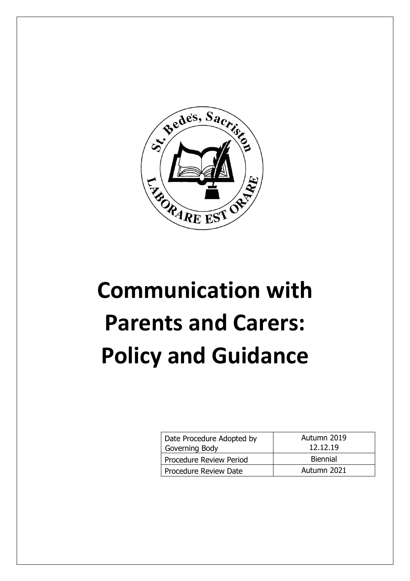

# **Communication with Parents and Carers: Policy and Guidance**

| Date Procedure Adopted by<br>Governing Body | Autumn 2019<br>12.12.19 |
|---------------------------------------------|-------------------------|
| Procedure Review Period                     | <b>Biennial</b>         |
| Procedure Review Date                       | Autumn 2021             |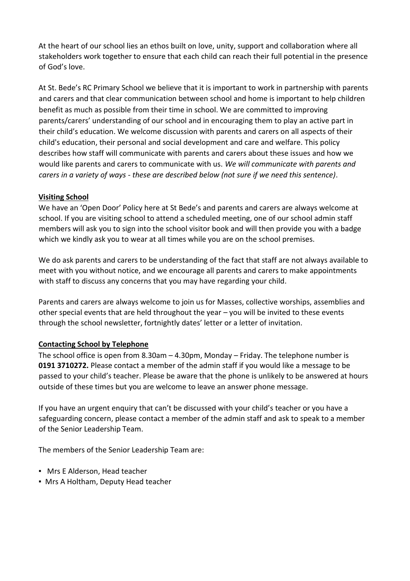At the heart of our school lies an ethos built on love, unity, support and collaboration where all stakeholders work together to ensure that each child can reach their full potential in the presence of God's love.

At St. Bede's RC Primary School we believe that it is important to work in partnership with parents and carers and that clear communication between school and home is important to help children benefit as much as possible from their time in school. We are committed to improving parents/carers' understanding of our school and in encouraging them to play an active part in their child's education. We welcome discussion with parents and carers on all aspects of their child's education, their personal and social development and care and welfare. This policy describes how staff will communicate with parents and carers about these issues and how we would like parents and carers to communicate with us. *We will communicate with parents and carers in a variety of ways - these are described below (not sure if we need this sentence)*.

## **Visiting School**

We have an 'Open Door' Policy here at St Bede's and parents and carers are always welcome at school. If you are visiting school to attend a scheduled meeting, one of our school admin staff members will ask you to sign into the school visitor book and will then provide you with a badge which we kindly ask you to wear at all times while you are on the school premises.

We do ask parents and carers to be understanding of the fact that staff are not always available to meet with you without notice, and we encourage all parents and carers to make appointments with staff to discuss any concerns that you may have regarding your child.

Parents and carers are always welcome to join us for Masses, collective worships, assemblies and other special events that are held throughout the year – you will be invited to these events through the school newsletter, fortnightly dates' letter or a letter of invitation.

## **Contacting School by Telephone**

The school office is open from 8.30am – 4.30pm, Monday – Friday. The telephone number is **0191 3710272.** Please contact a member of the admin staff if you would like a message to be passed to your child's teacher. Please be aware that the phone is unlikely to be answered at hours outside of these times but you are welcome to leave an answer phone message.

If you have an urgent enquiry that can't be discussed with your child's teacher or you have a safeguarding concern, please contact a member of the admin staff and ask to speak to a member of the Senior Leadership Team.

The members of the Senior Leadership Team are:

- Mrs E Alderson, Head teacher
- Mrs A Holtham, Deputy Head teacher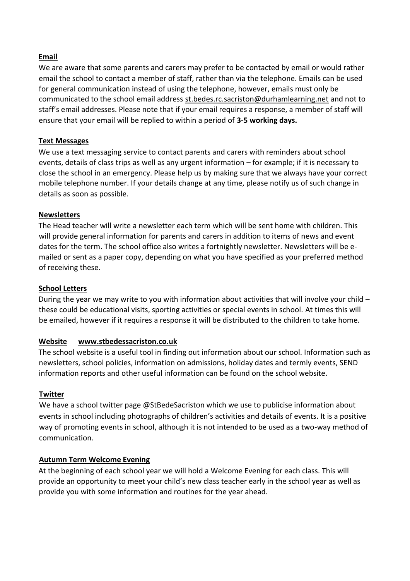## **Email**

We are aware that some parents and carers may prefer to be contacted by email or would rather email the school to contact a member of staff, rather than via the telephone. Emails can be used for general communication instead of using the telephone, however, emails must only be communicated to the school email address [st.bedes.rc.sacriston@durhamlearning.net](mailto:st.bedes.rc.sacriston@durhamlearning.net) and not to staff's email addresses. Please note that if your email requires a response, a member of staff will ensure that your email will be replied to within a period of **3-5 working days.**

#### **Text Messages**

We use a text messaging service to contact parents and carers with reminders about school events, details of class trips as well as any urgent information – for example; if it is necessary to close the school in an emergency. Please help us by making sure that we always have your correct mobile telephone number. If your details change at any time, please notify us of such change in details as soon as possible.

## **Newsletters**

The Head teacher will write a newsletter each term which will be sent home with children. This will provide general information for parents and carers in addition to items of news and event dates for the term. The school office also writes a fortnightly newsletter. Newsletters will be emailed or sent as a paper copy, depending on what you have specified as your preferred method of receiving these.

## **School Letters**

During the year we may write to you with information about activities that will involve your child – these could be educational visits, sporting activities or special events in school. At times this will be emailed, however if it requires a response it will be distributed to the children to take home.

## **Website www.stbedessacriston.co.uk**

The school website is a useful tool in finding out information about our school. Information such as newsletters, school policies, information on admissions, holiday dates and termly events, SEND information reports and other useful information can be found on the school website.

#### **Twitter**

We have a school twitter page @StBedeSacriston which we use to publicise information about events in school including photographs of children's activities and details of events. It is a positive way of promoting events in school, although it is not intended to be used as a two-way method of communication.

#### **Autumn Term Welcome Evening**

At the beginning of each school year we will hold a Welcome Evening for each class. This will provide an opportunity to meet your child's new class teacher early in the school year as well as provide you with some information and routines for the year ahead.